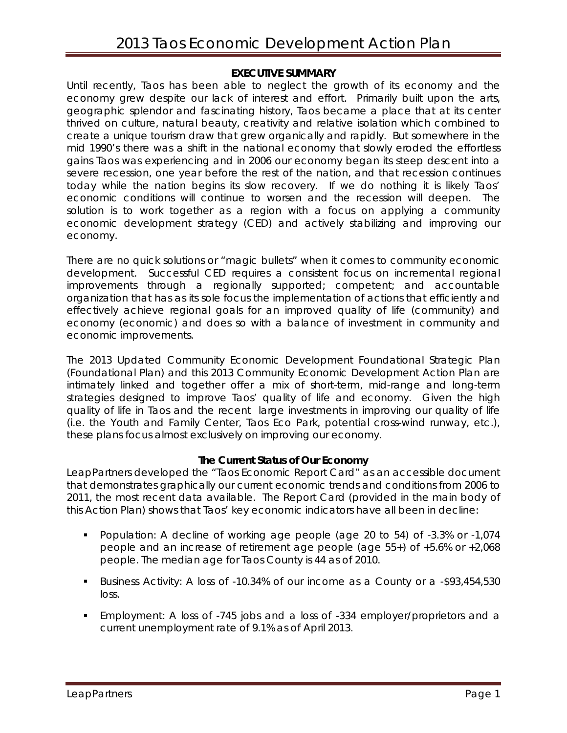## **EXECUTIVE SUMMARY**

Until recently, Taos has been able to neglect the growth of its economy and the economy grew despite our lack of interest and effort. Primarily built upon the arts, geographic splendor and fascinating history, Taos became a place that at its center thrived on culture, natural beauty, creativity and relative isolation which combined to create a unique tourism draw that grew organically and rapidly. But somewhere in the mid 1990's there was a shift in the national economy that slowly eroded the effortless gains Taos was experiencing and in 2006 our economy began its steep descent into a severe recession, one year before the rest of the nation, and that recession continues today while the nation begins its slow recovery. If we do nothing it is likely Taos' economic conditions will continue to worsen and the recession will deepen. The solution is to work together as a region with a focus on applying a community economic development strategy (CED) and actively stabilizing and improving our economy.

There are no quick solutions or "magic bullets" when it comes to community economic development. Successful CED requires a consistent focus on incremental regional improvements through a regionally supported; competent; and accountable organization that has as its sole focus the implementation of actions that efficiently and effectively achieve regional goals for an improved quality of life (community) and economy (economic) and does so with a balance of investment in community and economic improvements.

The 2013 Updated Community Economic Development Foundational Strategic Plan (Foundational Plan) and this 2013 Community Economic Development Action Plan are intimately linked and together offer a mix of short-term, mid-range and long-term strategies designed to improve Taos' quality of life and economy. Given the high quality of life in Taos and the recent large investments in improving our quality of life (i.e. the Youth and Family Center, Taos Eco Park, potential cross-wind runway, etc.), these plans focus almost exclusively on improving our economy.

# **The Current Status of Our Economy**

LeapPartners developed the "Taos Economic Report Card" as an accessible document that demonstrates graphically our current economic trends and conditions from 2006 to 2011, the most recent data available. The Report Card (provided in the main body of this Action Plan) shows that Taos' key economic indicators have all been in decline:

- Population: A decline of working age people (age 20 to 54) of -3.3% or -1,074 people and an increase of retirement age people (age 55+) of +5.6% or +2,068 people. The median age for Taos County is 44 as of 2010.
- Business Activity: A loss of -10.34% of our income as a County or a -\$93,454,530 loss.
- Employment: A loss of -745 jobs and a loss of -334 employer/proprietors and a current unemployment rate of 9.1% as of April 2013.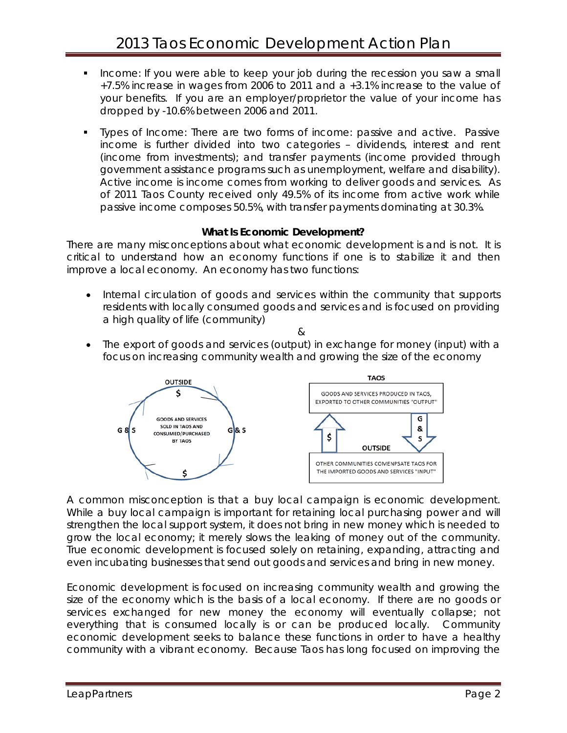- Income: If you were able to keep your job during the recession you saw a small +7.5% increase in wages from 2006 to 2011 and a +3.1% increase to the value of your benefits. If you are an employer/proprietor the value of your income has dropped by -10.6% between 2006 and 2011.
- Types of Income: There are two forms of income: passive and active. Passive income is further divided into two categories – dividends, interest and rent (income from investments); and transfer payments (income provided through government assistance programs such as unemployment, welfare and disability). Active income is income comes from working to deliver goods and services. As of 2011 Taos County received only 49.5% of its income from active work while passive income composes 50.5%, with transfer payments dominating at 30.3%.

## **What Is Economic Development?**

There are many misconceptions about what economic development is and is not. It is critical to understand how an economy functions if one is to stabilize it and then improve a local economy. An economy has two functions:

- Internal circulation of goods and services within the community that supports residents with locally consumed goods and services and is focused on providing a high quality of life (community)
	- $\kappa$
- The export of goods and services (output) in exchange for money (input) with a focus on increasing community wealth and growing the size of the economy



A common misconception is that a buy local campaign is economic development. While a buy local campaign is important for retaining local purchasing power and will strengthen the local support system, it does not bring in new money which is needed to grow the local economy; it merely slows the leaking of money out of the community. True economic development is focused solely on retaining, expanding, attracting and even incubating businesses that send out goods and services and bring in new money.

Economic development is focused on increasing community wealth and growing the size of the economy which is the basis of a local economy. If there are no goods or services exchanged for new money the economy will eventually collapse; not everything that is consumed locally is or can be produced locally. Community economic development seeks to balance these functions in order to have a healthy community with a vibrant economy. Because Taos has long focused on improving the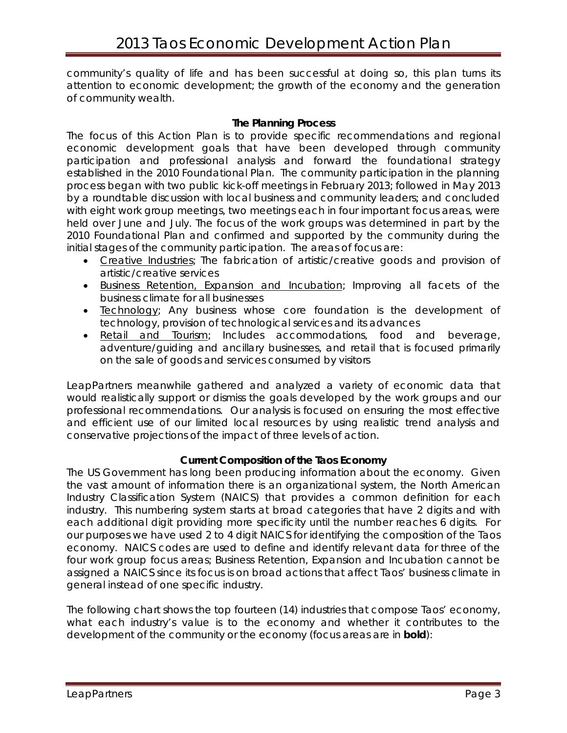community's quality of life and has been successful at doing so, this plan turns its attention to economic development; the growth of the economy and the generation of community wealth.

## **The Planning Process**

The focus of this Action Plan is to provide specific recommendations and regional economic development goals that have been developed through community participation and professional analysis and forward the foundational strategy established in the 2010 Foundational Plan. The community participation in the planning process began with two public kick-off meetings in February 2013; followed in May 2013 by a roundtable discussion with local business and community leaders; and concluded with eight work group meetings, two meetings each in four important focus areas, were held over June and July. The focus of the work groups was determined in part by the 2010 Foundational Plan and confirmed and supported by the community during the initial stages of the community participation. The areas of focus are:

- *Creative Industries*; The fabrication of artistic/creative goods and provision of artistic/creative services
- *Business Retention, Expansion and Incubation*; Improving all facets of the business climate for all businesses
- *Technology*; Any business whose core foundation is the development of technology, provision of technological services and its advances
- *Retail and Tourism*; Includes accommodations, food and beverage, adventure/guiding and ancillary businesses, and retail that is focused primarily on the sale of goods and services consumed by visitors

LeapPartners meanwhile gathered and analyzed a variety of economic data that would realistically support or dismiss the goals developed by the work groups and our professional recommendations. Our analysis is focused on ensuring the most effective and efficient use of our limited local resources by using realistic trend analysis and conservative projections of the impact of three levels of action.

# **Current Composition of the Taos Economy**

The US Government has long been producing information about the economy. Given the vast amount of information there is an organizational system, the North American Industry Classification System (NAICS) that provides a common definition for each industry. This numbering system starts at broad categories that have 2 digits and with each additional digit providing more specificity until the number reaches 6 digits. For our purposes we have used 2 to 4 digit NAICS for identifying the composition of the Taos economy. NAICS codes are used to define and identify relevant data for three of the four work group focus areas; Business Retention, Expansion and Incubation cannot be assigned a NAICS since its focus is on broad actions that affect Taos' business climate in general instead of one specific industry.

The following chart shows the top fourteen (14) industries that compose Taos' economy, what each industry's value is to the economy and whether it contributes to the development of the community or the economy (focus areas are in **bold**):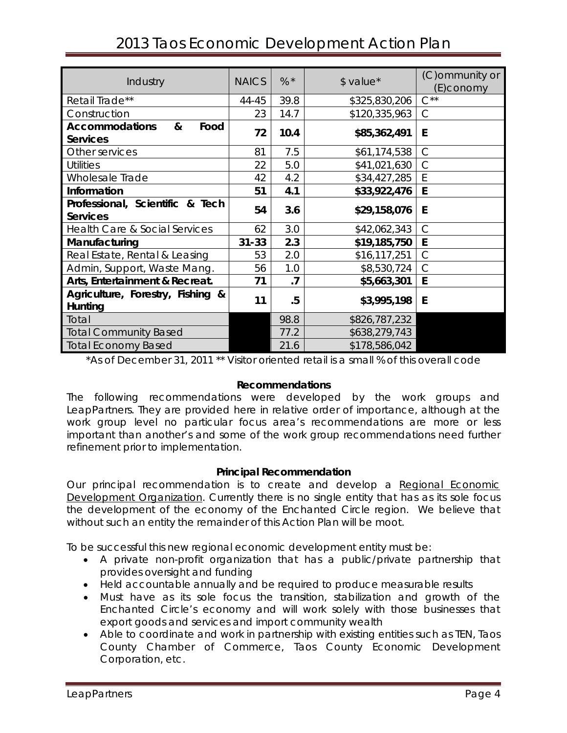| Industry                                              | <b>NAICS</b> | $% *$   | \$ value*     | (C) ommunity or<br>(E)conomy |
|-------------------------------------------------------|--------------|---------|---------------|------------------------------|
| Retail Trade**                                        | 44-45        | 39.8    | \$325,830,206 | $C^{\ast\ast}$               |
| Construction                                          | 23           | 14.7    | \$120,335,963 | $\mathsf{C}$                 |
| <b>Accommodations</b><br>&<br>Food<br><b>Services</b> | 72           | 10.4    | \$85,362,491  | E                            |
| Other services                                        | 81           | 7.5     | \$61,174,538  | $\mathcal{C}$                |
| <b>Utilities</b>                                      | 22           | 5.0     | \$41,021,630  | $\mathsf{C}$                 |
| Wholesale Trade                                       | 42           | 4.2     | \$34,427,285  | E                            |
| Information                                           | 51           | 4.1     | \$33,922,476  | E                            |
| Professional, Scientific & Tech<br><b>Services</b>    | 54           | 3.6     | \$29,158,076  | E                            |
| <b>Health Care &amp; Social Services</b>              | 62           | 3.0     | \$42,062,343  | $\subset$                    |
| Manufacturing                                         | $31 - 33$    | 2.3     | \$19,185,750  | E                            |
| Real Estate, Rental & Leasing                         | 53           | 2.0     | \$16,117,251  | $\mathcal{C}$                |
| Admin, Support, Waste Mang.                           | 56           | 1.0     | \$8,530,724   | C                            |
| Arts, Entertainment & Recreat.                        | 71           | $\cdot$ | \$5,663,301   | E                            |
| Agriculture, Forestry, Fishing &<br>Hunting           | 11           | .5      | \$3,995,198   | E                            |
| Total                                                 |              | 98.8    | \$826,787,232 |                              |
| <b>Total Community Based</b>                          |              | 77.2    | \$638,279,743 |                              |
| <b>Total Economy Based</b>                            |              | 21.6    | \$178,586,042 |                              |

# 2013 Taos Economic Development Action Plan

\*As of December 31, 2011 \*\* Visitor oriented retail is a small % of this overall code

#### **Recommendations**

The following recommendations were developed by the work groups and LeapPartners. They are provided here in relative order of importance, although at the work group level no particular focus area's recommendations are more or less important than another's and some of the work group recommendations need further refinement prior to implementation.

#### **Principal Recommendation**

Our *principal* recommendation is to create and develop a *Regional Economic Development Organization*. Currently there is no single entity that has as its sole focus the development of the economy of the Enchanted Circle region. We believe that without such an entity the remainder of this Action Plan will be moot.

To be successful this new regional economic development entity must be:

- A private non-profit organization that has a public/private partnership that provides oversight and funding
- Held accountable annually and be required to produce measurable results
- Must have as its sole focus the transition, stabilization and growth of the Enchanted Circle's economy and will work solely with those businesses that export goods and services and import community wealth
- Able to coordinate and work in partnership with existing entities such as TEN, Taos County Chamber of Commerce, Taos County Economic Development Corporation, etc.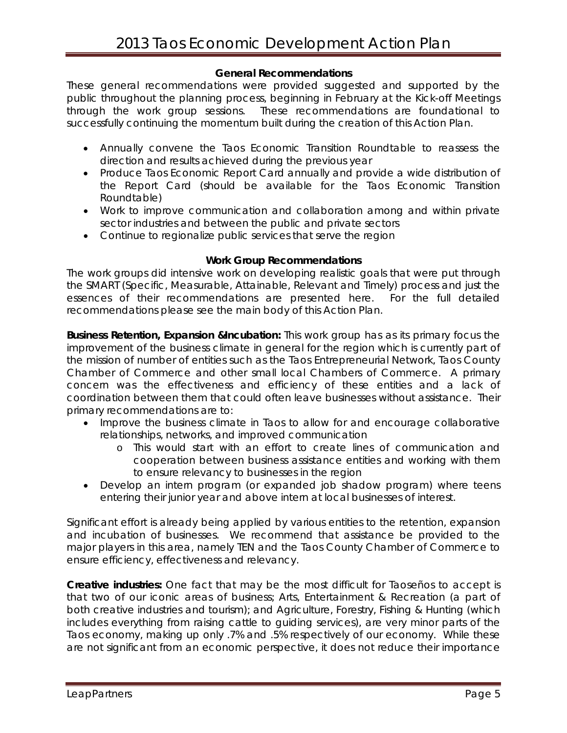## **General Recommendations**

These general recommendations were provided suggested and supported by the public throughout the planning process, beginning in February at the Kick-off Meetings through the work group sessions. These recommendations are foundational to successfully continuing the momentum built during the creation of this Action Plan.

- Annually convene the Taos Economic Transition Roundtable to reassess the direction and results achieved during the previous year
- Produce Taos Economic Report Card annually and provide a wide distribution of the Report Card (should be available for the Taos Economic Transition Roundtable)
- Work to improve communication and collaboration among and within private sector industries and between the public and private sectors
- Continue to regionalize public services that serve the region

#### **Work Group Recommendations**

The work groups did intensive work on developing realistic goals that were put through the SMART (Specific, Measurable, Attainable, Relevant and Timely) process and just the essences of their recommendations are presented here. For the full detailed recommendations please see the main body of this Action Plan.

**Business Retention, Expansion &Incubation:** This work group has as its primary focus the improvement of the business climate in general for the region which is currently part of the mission of number of entities such as the Taos Entrepreneurial Network, Taos County Chamber of Commerce and other small local Chambers of Commerce. A primary concern was the effectiveness and efficiency of these entities and a lack of coordination between them that could often leave businesses without assistance. Their primary recommendations are to:

- Improve the business climate in Taos to allow for and encourage collaborative relationships, networks, and improved communication
	- o This would start with an effort to create lines of communication and cooperation between business assistance entities and working with them to ensure relevancy to businesses in the region
- Develop an intern program (or expanded job shadow program) where teens entering their junior year and above intern at local businesses of interest.

Significant effort is already being applied by various entities to the retention, expansion and incubation of businesses. We recommend that assistance be provided to the major players in this area, namely TEN and the Taos County Chamber of Commerce to ensure efficiency, effectiveness and relevancy.

**Creative industries:** One fact that may be the most difficult for Taoseños to accept is that two of our iconic areas of business; Arts, Entertainment & Recreation (a part of both creative industries and tourism); and Agriculture, Forestry, Fishing & Hunting (which includes everything from raising cattle to guiding services), are very minor parts of the Taos economy, making up only .7% and .5% respectively of our economy. While these are not significant from an economic perspective, it does not reduce their importance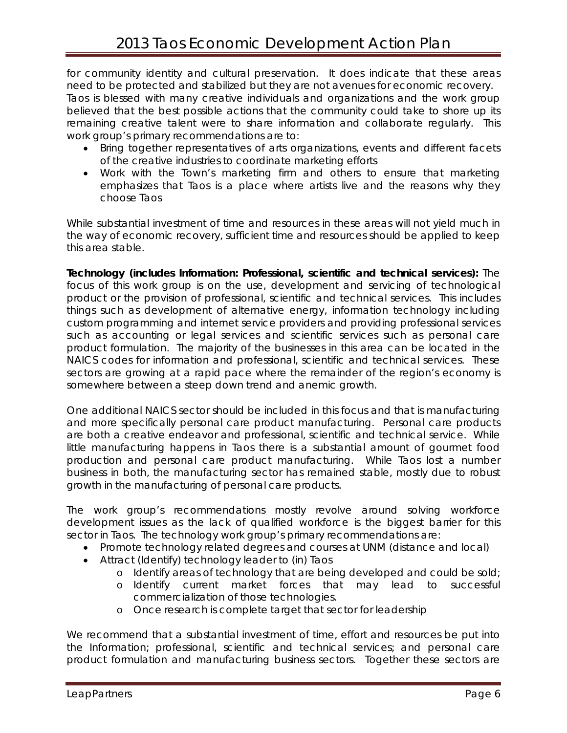for community identity and cultural preservation. It does indicate that these areas need to be protected and stabilized but they are not avenues for economic recovery. Taos is blessed with many creative individuals and organizations and the work group believed that the best possible actions that the community could take to shore up its remaining creative talent were to share information and collaborate regularly. This work group's primary recommendations are to:

- Bring together representatives of arts organizations, events and different facets of the creative industries to coordinate marketing efforts
- Work with the Town's marketing firm and others to ensure that marketing emphasizes that Taos is a place where artists live and the reasons why they choose Taos

While substantial investment of time and resources in these areas will not yield much in the way of economic recovery, sufficient time and resources should be applied to keep this area stable.

**Technology (includes Information: Professional, scientific and technical services):** The focus of this work group is on the use, development and servicing of technological product or the provision of professional, scientific and technical services. This includes things such as development of alternative energy, information technology including custom programming and internet service providers and providing professional services such as accounting or legal services and scientific services such as personal care product formulation. The majority of the businesses in this area can be located in the NAICS codes for information and professional, scientific and technical services. These sectors are growing at a rapid pace where the remainder of the region's economy is somewhere between a steep down trend and anemic growth.

One additional NAICS sector should be included in this focus and that is manufacturing and more specifically personal care product manufacturing. Personal care products are both a creative endeavor and professional, scientific and technical service. While little manufacturing happens in Taos there is a substantial amount of gourmet food production and personal care product manufacturing. While Taos lost a number business in both, the manufacturing sector has remained stable, mostly due to robust growth in the manufacturing of personal care products.

The work group's recommendations mostly revolve around solving workforce development issues as the lack of qualified workforce is the biggest barrier for this sector in Taos. The technology work group's primary recommendations are:

- Promote technology related degrees and courses at UNM (distance and local)
- Attract (Identify) technology leader to (in) Taos
	- o Identify areas of technology that are being developed and could be sold;
	- o Identify current market forces that may lead to successful commercialization of those technologies.
	- o Once research is complete target that sector for leadership

We recommend that a substantial investment of time, effort and resources be put into the Information; professional, scientific and technical services; and personal care product formulation and manufacturing business sectors. Together these sectors are